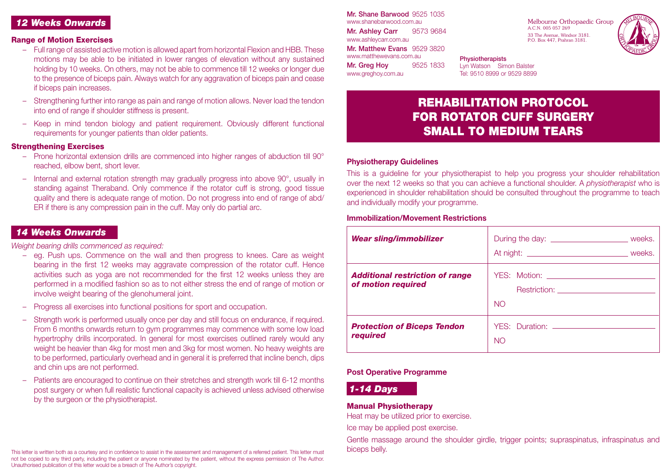## *12 Weeks Onwards*

#### Range of Motion Exercises

- Full range of assisted active motion is allowed apart from horizontal Flexion and HBB. These motions may be able to be initiated in lower ranges of elevation without any sustained holding by 10 weeks. On others, may not be able to commence till 12 weeks or longer due to the presence of biceps pain. Always watch for any aggravation of biceps pain and cease if biceps pain increases.
- Strengthening further into range as pain and range of motion allows. Never load the tendon into end of range if shoulder stiffness is present.
- Keep in mind tendon biology and patient requirement. Obviously different functional requirements for younger patients than older patients.

#### **Strengthening Exercises**

- Prone horizontal extension drills are commenced into higher ranges of abduction till 90° reached, elbow bent, short lever.
- Internal and external rotation strength may gradually progress into above 90°, usually in standing against Theraband. Only commence if the rotator cuff is strong, good tissue quality and there is adequate range of motion. Do not progress into end of range of abd/ ER if there is any compression pain in the cuff. May only do partial arc.

# *14 Weeks Onwards*

*Weight bearing drills commenced as required:*

- eg. Push ups. Commence on the wall and then progress to knees. Care as weight bearing in the first 12 weeks may aggravate compression of the rotator cuff. Hence activities such as yoga are not recommended for the first 12 weeks unless they are performed in a modified fashion so as to not either stress the end of range of motion or involve weight bearing of the glenohumeral joint.
- Progress all exercises into functional positions for sport and occupation.
- Strength work is performed usually once per day and still focus on endurance, if required. From 6 months onwards return to gym programmes may commence with some low load hypertrophy drills incorporated. In general for most exercises outlined rarely would any weight be heavier than 4kg for most men and 3kg for most women. No heavy weights are to be performed, particularly overhead and in general it is preferred that incline bench, dips and chin ups are not performed.
- Patients are encouraged to continue on their stretches and strength work till 6-12 months post surgery or when full realistic functional capacity is achieved unless advised otherwise by the surgeon or the physiotherapist.

Mr. Shane Barwood 9525 1035 www.shanebarwood.com.au Mr. Ashley Carr 9573 9684 www.ashleycarr.com.au Mr. Matthew Evans 9529 3820 www.matthewevans.com.au Mr. Greg Hoy 9525 1833 www.greghoy.com.au

Melbourne Orthopaedic Group A.C.N. 005 057 269 33 The Avenue, Windsor 3181. P.O. Box 447, Prahran 3181.



**Physiotherapists** Lyn Watson Simon Balster Tel: 9510 8999 or 9529 8899

# REHABILITATION PROTOCOL FOR ROTATOR CUFF SURGERY SMALL TO MEDIUM TEARS

#### **Physiotherapy Guidelines**

This is a guideline for your physiotherapist to help you progress your shoulder rehabilitation over the next 12 weeks so that you can achieve a functional shoulder. A *physiotherapist* who is experienced in shoulder rehabilitation should be consulted throughout the programme to teach and individually modify your programme.

#### **Immobilization/Movement Restrictions**

| <b>Wear sling/immobilizer</b>                                | During the day: _____________________________ weeks.  |
|--------------------------------------------------------------|-------------------------------------------------------|
| <b>Additional restriction of range</b><br>of motion required | Restriction: <u>____________________</u><br><b>NO</b> |
| <b>Protection of Biceps Tendon</b><br>required               | <b>NO</b>                                             |

#### **Post Operative Programme**

### *1-14 Days*

#### Manual Physiotherapy

Heat may be utilized prior to exercise.

Ice may be applied post exercise.

Gentle massage around the shoulder girdle, trigger points; supraspinatus, infraspinatus and biceps belly.

This letter is written both as a courtesy and in confidence to assist in the assessment and management of a referred patient. This letter must not be copied to any third party, including the patient or anyone nominated by the patient, without the express permission of The Author. Unauthorised publication of this letter would be a breach of The Author's copyright.